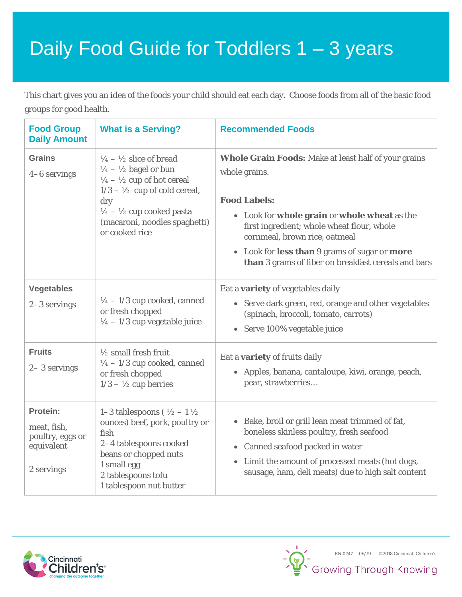## Daily Food Guide for Toddlers 1 – 3 years

This chart gives you an idea of the foods your child should eat each day. Choose foods from all of the basic food groups for good health.

| <b>Food Group</b><br><b>Daily Amount</b>                                | <b>What is a Serving?</b>                                                                                                                                                                                                                                                                    | <b>Recommended Foods</b>                                                                                                                                                                                                                                                                                                                   |  |  |  |
|-------------------------------------------------------------------------|----------------------------------------------------------------------------------------------------------------------------------------------------------------------------------------------------------------------------------------------------------------------------------------------|--------------------------------------------------------------------------------------------------------------------------------------------------------------------------------------------------------------------------------------------------------------------------------------------------------------------------------------------|--|--|--|
| <b>Grains</b><br>4-6 servings                                           | $\frac{1}{4} - \frac{1}{2}$ slice of bread<br>$\frac{1}{4} - \frac{1}{2}$ bagel or bun<br>$\frac{1}{4} - \frac{1}{2}$ cup of hot cereal<br>$1/3 - \frac{1}{2}$ cup of cold cereal,<br>dry<br>$\frac{1}{4} - \frac{1}{2}$ cup cooked pasta<br>(macaroni, noodles spaghetti)<br>or cooked rice | <b>Whole Grain Foods:</b> Make at least half of your grains<br>whole grains.<br><b>Food Labels:</b><br>• Look for whole grain or whole wheat as the<br>first ingredient; whole wheat flour, whole<br>cornmeal, brown rice, oatmeal<br>• Look for less than 9 grams of sugar or more<br>than 3 grams of fiber on breakfast cereals and bars |  |  |  |
| <b>Vegetables</b><br>2-3 servings                                       | $\frac{1}{4}$ – 1/3 cup cooked, canned<br>or fresh chopped<br>$\frac{1}{4} - \frac{1}{3}$ cup vegetable juice                                                                                                                                                                                | Eat a <b>variety</b> of vegetables daily<br>• Serve dark green, red, orange and other vegetables<br>(spinach, broccoli, tomato, carrots)<br>• Serve 100% vegetable juice                                                                                                                                                                   |  |  |  |
| <b>Fruits</b><br>$2 - 3$ servings                                       | $\frac{1}{2}$ small fresh fruit<br>$\frac{1}{4}$ – 1/3 cup cooked, canned<br>or fresh chopped<br>$1/3 - \frac{1}{2}$ cup berries                                                                                                                                                             | Eat a <b>variety</b> of fruits daily<br>• Apples, banana, cantaloupe, kiwi, orange, peach,<br>pear, strawberries                                                                                                                                                                                                                           |  |  |  |
| Protein:<br>meat, fish,<br>poultry, eggs or<br>equivalent<br>2 servings | 1–3 tablespoons ( $\frac{1}{2}$ – 1 $\frac{1}{2}$<br>ounces) beef, pork, poultry or<br>fish<br>2-4 tablespoons cooked<br>beans or chopped nuts<br>1 small egg<br>2 tablespoons tofu<br>1 tablespoon nut butter                                                                               | • Bake, broil or grill lean meat trimmed of fat,<br>boneless skinless poultry, fresh seafood<br>• Canned seafood packed in water<br>• Limit the amount of processed meats (hot dogs,<br>sausage, ham, deli meats) due to high salt content                                                                                                 |  |  |  |



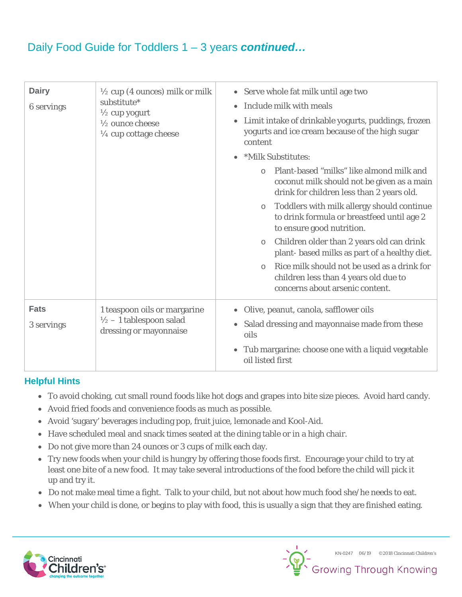## Daily Food Guide for Toddlers 1 – 3 years *continued…*

| <b>Dairy</b><br><b>6</b> servings | $\frac{1}{2}$ cup (4 ounces) milk or milk<br>substitute*<br>$\frac{1}{2}$ cup yogurt<br>1/2 ounce cheese<br>$\frac{1}{4}$ cup cottage cheese | • Serve whole fat milk until age two<br>Include milk with meals<br>٠<br>Limit intake of drinkable yogurts, puddings, frozen<br>٠<br>yogurts and ice cream because of the high sugar<br>content      |  |  |  |  |
|-----------------------------------|----------------------------------------------------------------------------------------------------------------------------------------------|-----------------------------------------------------------------------------------------------------------------------------------------------------------------------------------------------------|--|--|--|--|
|                                   |                                                                                                                                              | *Milk Substitutes:<br>$\bullet$<br>Plant-based "milks" like almond milk and<br>$\bigcap$<br>coconut milk should not be given as a main<br>drink for children less than 2 years old.                 |  |  |  |  |
|                                   |                                                                                                                                              | Toddlers with milk allergy should continue<br>$\circ$<br>to drink formula or breastfeed until age 2<br>to ensure good nutrition.                                                                    |  |  |  |  |
|                                   |                                                                                                                                              | Children older than 2 years old can drink<br>$\circ$<br>plant-based milks as part of a healthy diet.                                                                                                |  |  |  |  |
|                                   |                                                                                                                                              | Rice milk should not be used as a drink for<br>$\circ$<br>children less than 4 years old due to<br>concerns about arsenic content.                                                                  |  |  |  |  |
| <b>Fats</b><br>3 servings         | 1 teaspoon oils or margarine<br>$\frac{1}{2}$ - 1 tablespoon salad<br>dressing or mayonnaise                                                 | Olive, peanut, canola, safflower oils<br>$\bullet$<br>Salad dressing and mayonnaise made from these<br>$\bullet$<br>oils<br>• Tub margarine: choose one with a liquid vegetable<br>oil listed first |  |  |  |  |

## **Helpful Hints**

- To avoid choking, cut small round foods like hot dogs and grapes into bite size pieces. Avoid hard candy.
- Avoid fried foods and convenience foods as much as possible.
- Avoid 'sugary' beverages including pop, fruit juice, lemonade and Kool-Aid.
- Have scheduled meal and snack times seated at the dining table or in a high chair.
- Do not give more than 24 ounces or 3 cups of milk each day.
- Try new foods when your child is hungry by offering those foods first. Encourage your child to try at least one bite of a new food. It may take several introductions of the food before the child will pick it up and try it.
- Do not make meal time a fight. Talk to your child, but not about how much food she/he needs to eat.
- When your child is done, or begins to play with food, this is usually a sign that they are finished eating.